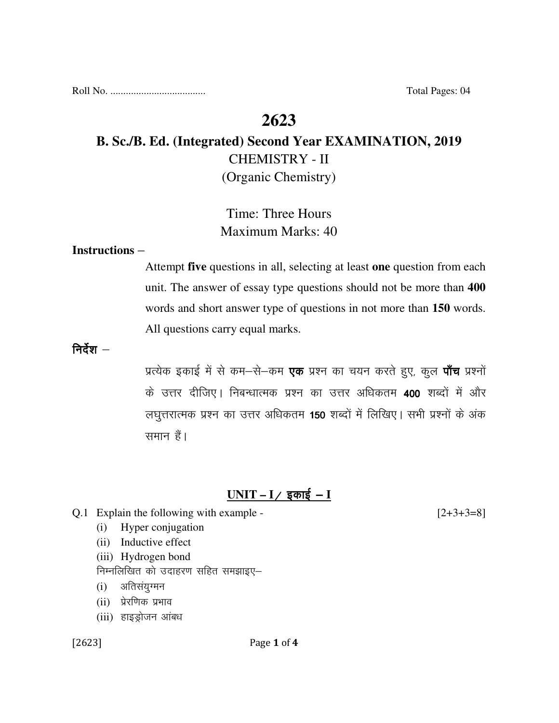Roll No. ..................................... Total Pages: 04

## **2623**

# **B. Sc./B. Ed. (Integrated) Second Year EXAMINATION, 2019**  CHEMISTRY - II (Organic Chemistry)

# Time: Three Hours Maximum Marks: 40

#### **Instructions** –

Attempt **five** questions in all, selecting at least **one** question from each unit. The answer of essay type questions should not be more than **400** words and short answer type of questions in not more than **150** words. All questions carry equal marks.

निर्देश $-$ 

प्रत्येक इकाई में से कम-से-कम **एक** प्रश्न का चयन करते हुए, कुल **पाँच** प्रश्नों के उत्तर दीजिए। निबन्धात्मक प्रश्न का उत्तर अधिकतम 400 शब्दों में और लघुत्तरात्मक प्रश्न का उत्तर अधिकतम 150 शब्दों में लिखिए। सभी प्रश्नों के अंक समान हैं।

### <u>UNIT – I / इकाई – I</u>

|  | Q.1 Explain the following with example - | $[2+3+3=8]$ |
|--|------------------------------------------|-------------|
|--|------------------------------------------|-------------|

- (i) Hyper conjugation
- (ii) Inductive effect
- (iii) Hydrogen bond
- निम्नलिखित को उदाहरण सहित समझाइए–
- (i) अतिसयुग्मन
- (ii) प्रेरणिक प्रभाव
- (iii) हाइड्रोजन आंबध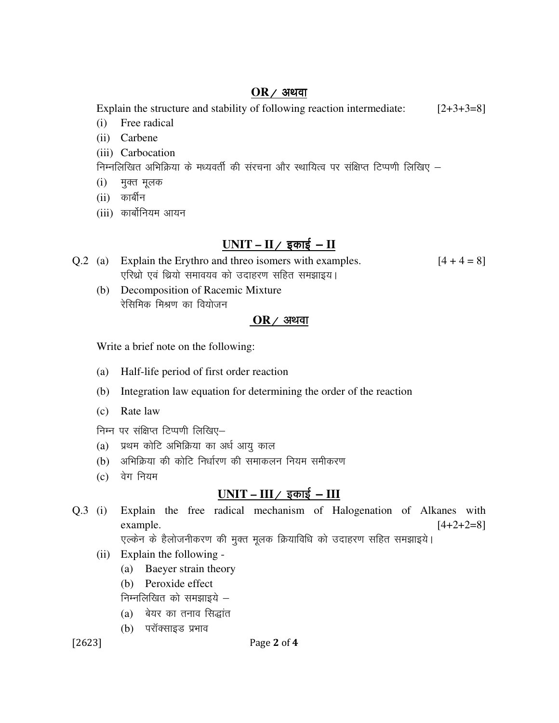#### $OR$  / अथवा

Explain the structure and stability of following reaction intermediate: [2+3+3=8]

- (i) Free radical
- (ii) Carbene
- (iii) Carbocation

निम्नलिखित अभिक्रिया के मध्यवर्ती की संरचना और स्थायित्व पर संक्षिप्त टिप्पणी लिखिए –

- (i) मुक्त मूलक
- $(ii)$  कार्बीन
- (iii) कार्बोनियम आयन

## <u>UNIT – II / इकाई – II</u>

| Q.2 (a) Explain the Erythro and threo isomers with examples. | $[4 + 4 = 8]$ |
|--------------------------------------------------------------|---------------|
| एरिथ्रो एवं थ्रियो समावयव को उदाहरण सहित समझाइय।             |               |

 (b) Decomposition of Racemic Mixture रेसिमिक मिश्रण का वियोजन

## $OR/$  अथवा

Write a brief note on the following:

- (a) Half-life period of first order reaction
- (b) Integration law equation for determining the order of the reaction
- (c) Rate law

निम्न पर संक्षिप्त टिप्पणी लिखिए-

- (a) प्रथम कोटि अभिक्रिया का अर्ध आयु काल
- (b) अभिक्रिया की कोटि निर्धारण की समाकलन नियम समीकरण
- $(c)$  वेग नियम

## $UNIT - III / \sqrt{2}$  काई -  $III$

Q.3 (i) Explain the free radical mechanism of Halogenation of Alkanes with example.  $[4+2+2=8]$ एल्केन के हैलोजनीकरण की मुक्त मूलक क्रियाविधि को उदाहरण सहित समझाइये।

- (ii) Explain the following
	- (a) Baeyer strain theory
	- (b) Peroxide effect

निम्नलिखित को समझाइये $-$ 

- $(a)$  बेयर का तनाव सिद्धांत
- (b) परॉक्साइड प्रभाव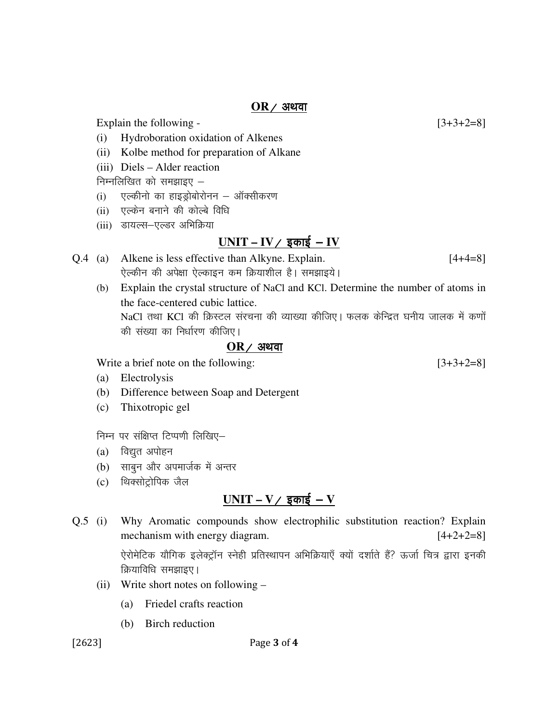#### $OR$  / अथवा

Explain the following  $-$  [3+3+2=8]

- (i) Hydroboration oxidation of Alkenes
- (ii) Kolbe method for preparation of Alkane
- (iii) Diels Alder reaction

निम्नलिखित को समझाइए $-$ 

- (i) एल्कीनो का हाइज्जोबोरोनन ऑक्सीकरण
- (ii) , एल्केन बनाने की कोल्बे विधि
- (iii) डायल्स-एल्डर अभिक्रिया

### <u>UNIT – IV / इकाई – IV</u>

- Q.4 (a) Alkene is less effective than Alkyne. Explain. [4+4=8] ऐल्कीन की अपेक्षा ऐल्काइन कम क्रियाशील है। समझाइये।
	- (b) Explain the crystal structure of NaCl and KCl. Determine the number of atoms in the face-centered cubic lattice. NaCl तथा KCl की क्रिस्टल संरचना की व्याख्या कीजिए। फलक केन्द्रित घनीय जालक में कणों की संख्या का निर्धारण कीजिए।

#### $OR$  / अथवा

Write a brief note on the following: [3+3+2=8]

- (a) Electrolysis
- (b) Difference between Soap and Detergent
- (c) Thixotropic gel

निम्न पर संक्षिप्त टिप्पणी लिखिए–

- (a) विद्युत अपोहन
- (b) साबुन और अपमार्जक में अन्तर
- (c) थिक्सोट्रोपिक जैल

## $UNIT - V /$  इकाई  $-V$

Q.5 (i) Why Aromatic compounds show electrophilic substitution reaction? Explain mechanism with energy diagram.  $[4+2+2=8]$ 

> ऐरोमेटिक यौगिक इलेक्ट्रॉन स्नेही प्रतिस्थापन अभिक्रियाएँ क्यों दर्शाते हैं? ऊर्जा चित्र द्वारा इनकी क्रियाविधि समझाइए।

- (ii) Write short notes on following
	- (a) Friedel crafts reaction
	- (b) Birch reduction